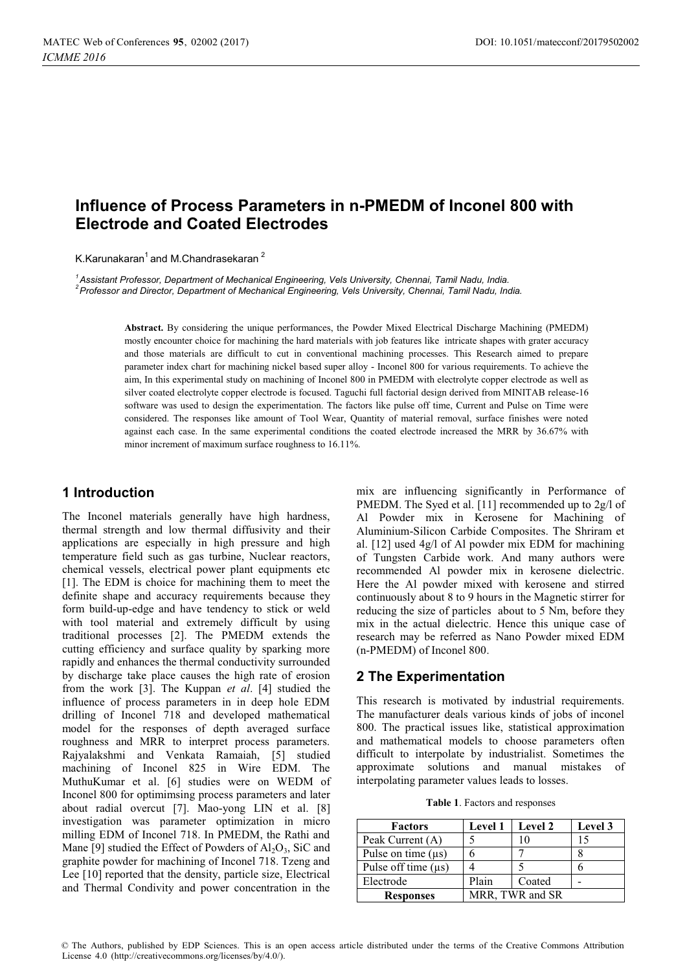# **Influence of Process Parameters in n-PMEDM of Inconel 800 with Electrode and Coated Electrodes**

K.Karunakaran $1$  and M.Chandrasekaran  $2$ 

*1 Assistant Professor, Department of Mechanical Engineering, Vels University, Chennai, Tamil Nadu, India. 2 Professor and Director, Department of Mechanical Engineering, Vels University, Chennai, Tamil Nadu, India.* 

> **Abstract.** By considering the unique performances, the Powder Mixed Electrical Discharge Machining (PMEDM) mostly encounter choice for machining the hard materials with job features like intricate shapes with grater accuracy and those materials are difficult to cut in conventional machining processes. This Research aimed to prepare parameter index chart for machining nickel based super alloy - Inconel 800 for various requirements. To achieve the aim, In this experimental study on machining of Inconel 800 in PMEDM with electrolyte copper electrode as well as silver coated electrolyte copper electrode is focused. Taguchi full factorial design derived from MINITAB release-16 software was used to design the experimentation. The factors like pulse off time, Current and Pulse on Time were considered. The responses like amount of Tool Wear, Quantity of material removal, surface finishes were noted against each case. In the same experimental conditions the coated electrode increased the MRR by 36.67% with minor increment of maximum surface roughness to 16.11%.

## **1 Introduction**

The Inconel materials generally have high hardness, thermal strength and low thermal diffusivity and their applications are especially in high pressure and high temperature field such as gas turbine, Nuclear reactors, chemical vessels, electrical power plant equipments etc [1]. The EDM is choice for machining them to meet the definite shape and accuracy requirements because they form build-up-edge and have tendency to stick or weld with tool material and extremely difficult by using traditional processes [2]. The PMEDM extends the cutting efficiency and surface quality by sparking more rapidly and enhances the thermal conductivity surrounded by discharge take place causes the high rate of erosion from the work [3]. The Kuppan *et al*. [4] studied the influence of process parameters in in deep hole EDM drilling of Inconel 718 and developed mathematical model for the responses of depth averaged surface roughness and MRR to interpret process parameters. Rajyalakshmi and Venkata Ramaiah, [5] studied machining of Inconel 825 in Wire EDM. The MuthuKumar et al. [6] studies were on WEDM of Inconel 800 for optimimsing process parameters and later about radial overcut [7]. Mao-yong LIN et al. [8] investigation was parameter optimization in micro milling EDM of Inconel 718. In PMEDM, the Rathi and Mane [9] studied the Effect of Powders of  $Al_2O_3$ , SiC and graphite powder for machining of Inconel 718. Tzeng and Lee [10] reported that the density, particle size, Electrical and Thermal Condivity and power concentration in the

mix are influencing significantly in Performance of PMEDM. The Syed et al. [11] recommended up to 2g/l of Al Powder mix in Kerosene for Machining of Aluminium-Silicon Carbide Composites. The Shriram et al. [12] used 4g/l of Al powder mix EDM for machining of Tungsten Carbide work. And many authors were recommended Al powder mix in kerosene dielectric. Here the Al powder mixed with kerosene and stirred continuously about 8 to 9 hours in the Magnetic stirrer for reducing the size of particles about to 5 Nm, before they mix in the actual dielectric. Hence this unique case of research may be referred as Nano Powder mixed EDM (n-PMEDM) of Inconel 800.

## **2 The Experimentation**

This research is motivated by industrial requirements. The manufacturer deals various kinds of jobs of inconel 800. The practical issues like, statistical approximation and mathematical models to choose parameters often difficult to interpolate by industrialist. Sometimes the approximate solutions and manual mistakes of interpolating parameter values leads to losses.

|  |  | Table 1. Factors and responses |
|--|--|--------------------------------|
|  |  |                                |

| <b>Factors</b>           | <b>Level 1</b> | <b>Level 2</b>  | Level 3 |
|--------------------------|----------------|-----------------|---------|
| Peak Current (A)         |                | 10              |         |
| Pulse on time $(\mu s)$  |                |                 |         |
| Pulse off time $(\mu s)$ |                |                 |         |
| Electrode                | Plain          | Coated          |         |
| <b>Responses</b>         |                | MRR, TWR and SR |         |
|                          |                |                 |         |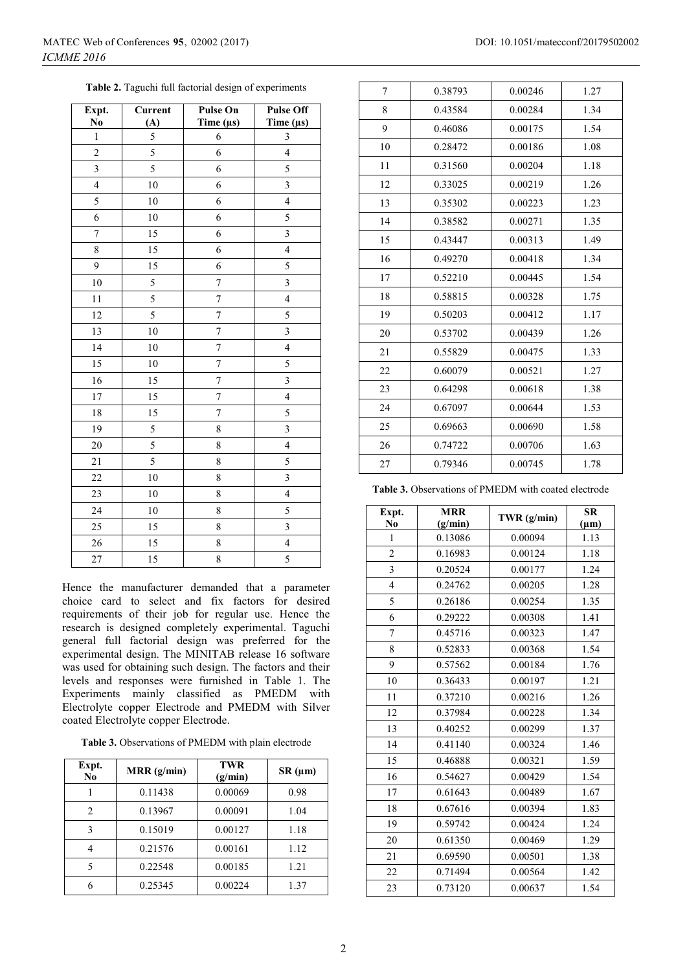|  |  | <b>Table 2.</b> Taguchi full factorial design of experiments |  |  |
|--|--|--------------------------------------------------------------|--|--|
|  |  |                                                              |  |  |

| Expt.                   | Current | <b>Pulse On</b> | <b>Pulse Off</b>        |
|-------------------------|---------|-----------------|-------------------------|
| N <sub>0</sub>          | (A)     | Time $(\mu s)$  | Time $(\mu s)$          |
| $\,1$                   | 5       | 6               | 3                       |
| $\overline{c}$          | 5       | 6               | $\overline{\mathbf{4}}$ |
| $\overline{\mathbf{3}}$ | 5       | 6               | 5                       |
| $\overline{4}$          | $10\,$  | 6               | $\overline{\mathbf{3}}$ |
| 5                       | $10\,$  | 6               | $\overline{4}$          |
| 6                       | $10\,$  | 6               | 5                       |
| $\overline{7}$          | 15      | 6               | $\overline{\mathbf{3}}$ |
| 8                       | 15      | 6               | $\overline{\mathbf{4}}$ |
| 9                       | 15      | 6               | 5                       |
| 10                      | 5       | $\overline{7}$  | $\overline{\mathbf{3}}$ |
| 11                      | 5       | $\sqrt{ }$      | $\overline{\mathbf{4}}$ |
| 12                      | 5       | $\overline{7}$  | 5                       |
| 13                      | $10\,$  | 7               | $\overline{\mathbf{3}}$ |
| 14                      | 10      | $\overline{7}$  | $\overline{\mathbf{4}}$ |
| 15                      | $10\,$  | 7               | 5                       |
| 16                      | 15      | $\overline{7}$  | $\overline{\mathbf{3}}$ |
| 17                      | 15      | $\overline{7}$  | $\overline{4}$          |
| $18\,$                  | 15      | $\overline{7}$  | 5                       |
| 19                      | 5       | 8               | $\overline{\mathbf{3}}$ |
| 20                      | 5       | 8               | $\overline{4}$          |
| 21                      | 5       | 8               | 5                       |
| 22                      | 10      | 8               | $\overline{\mathbf{3}}$ |
| 23                      | $10\,$  | 8               | $\overline{4}$          |
| 24                      | $10\,$  | 8               | 5                       |
| 25                      | 15      | 8               | 3                       |
| 26                      | 15      | 8               | $\overline{4}$          |
| 27                      | 15      | 8               | 5                       |

Hence the manufacturer demanded that a parameter choice card to select and fix factors for desired requirements of their job for regular use. Hence the research is designed completely experimental. Taguchi general full factorial design was preferred for the experimental design. The MINITAB release 16 software was used for obtaining such design. The factors and their levels and responses were furnished in Table 1. The Experiments mainly classified as PMEDM with Electrolyte copper Electrode and PMEDM with Silver coated Electrolyte copper Electrode.

**Table 3.** Observations of PMEDM with plain electrode

| Expt.<br>No | MRR (g/min) | <b>TWR</b><br>(g/min) | $SR(\mu m)$ |
|-------------|-------------|-----------------------|-------------|
|             | 0.11438     | 0.00069               | 0.98        |
| 2           | 0.13967     | 0.00091               | 1.04        |
| 3           | 0.15019     | 0.00127               | 1.18        |
|             | 0.21576     | 0.00161               | 1.12        |
| 5           | 0.22548     | 0.00185               | 1.21        |
|             | 0.25345     | 0.00224               | 1.37        |

|  | DOI: 10.1051/matecconf/20179502002 |
|--|------------------------------------|
|  |                                    |

| 7  | 0.38793 | 0.00246 | 1.27 |
|----|---------|---------|------|
| 8  | 0.43584 | 0.00284 | 1.34 |
| 9  | 0.46086 | 0.00175 | 1.54 |
| 10 | 0.28472 | 0.00186 | 1.08 |
| 11 | 0.31560 | 0.00204 | 1.18 |
| 12 | 0.33025 | 0.00219 | 1.26 |
| 13 | 0.35302 | 0.00223 | 1.23 |
| 14 | 0.38582 | 0.00271 | 1.35 |
| 15 | 0.43447 | 0.00313 | 1.49 |
| 16 | 0.49270 | 0.00418 | 1.34 |
| 17 | 0.52210 | 0.00445 | 1.54 |
| 18 | 0.58815 | 0.00328 | 1.75 |
| 19 | 0.50203 | 0.00412 | 1.17 |
| 20 | 0.53702 | 0.00439 | 1.26 |
| 21 | 0.55829 | 0.00475 | 1.33 |
| 22 | 0.60079 | 0.00521 | 1.27 |
| 23 | 0.64298 | 0.00618 | 1.38 |
| 24 | 0.67097 | 0.00644 | 1.53 |
| 25 | 0.69663 | 0.00690 | 1.58 |
| 26 | 0.74722 | 0.00706 | 1.63 |
| 27 | 0.79346 | 0.00745 | 1.78 |
|    |         |         |      |

**Table 3.** Observations of PMEDM with coated electrode

| Expt.<br>N <sub>0</sub> | <b>MRR</b><br>(g/min) | TWR $(g/min)$ | <b>SR</b><br>$(\mu m)$ |
|-------------------------|-----------------------|---------------|------------------------|
| $\mathbf{1}$            | 0.13086               | 0.00094       | 1.13                   |
| $\overline{c}$          | 0.16983               | 0.00124       | 1.18                   |
| $\overline{3}$          | 0.20524               | 0.00177       | 1.24                   |
| $\overline{\mathbf{4}}$ | 0.24762               | 0.00205       | 1.28                   |
| 5                       | 0.26186               | 0.00254       | 1.35                   |
| 6                       | 0.29222               | 0.00308       | 1.41                   |
| 7                       | 0.45716               | 0.00323       | 1.47                   |
| 8                       | 0.52833               | 0.00368       | 1.54                   |
| 9                       | 0.57562               | 0.00184       | 1.76                   |
| 10                      | 0.36433               | 0.00197       | 1.21                   |
| 11                      | 0.37210               | 0.00216       | 1.26                   |
| 12                      | 0.37984               | 0.00228       | 1.34                   |
| 13                      | 0.40252               | 0.00299       | 1.37                   |
| 14                      | 0.41140               | 0.00324       | 1.46                   |
| 15                      | 0.46888               | 0.00321       | 1.59                   |
| 16                      | 0.54627               | 0.00429       | 1.54                   |
| 17                      | 0.61643               | 0.00489       | 1.67                   |
| 18                      | 0.67616               | 0.00394       | 1.83                   |
| 19                      | 0.59742               | 0.00424       | 1.24                   |
| 20                      | 0.61350               | 0.00469       | 1.29                   |
| 21                      | 0.69590               | 0.00501       | 1.38                   |
| 22                      | 0.71494               | 0.00564       | 1.42                   |
| 23                      | 0.73120               | 0.00637       | 1.54                   |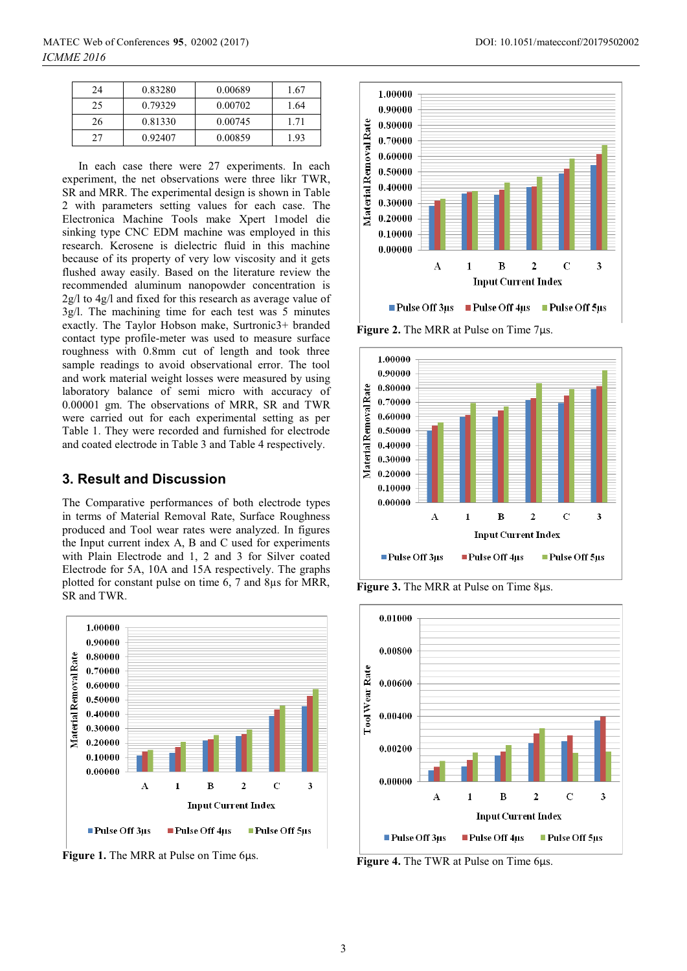| 24 | 0.83280 | 0.00689 | 1.67 |
|----|---------|---------|------|
| 25 | 0.79329 | 0.00702 | 1.64 |
| 26 | 0.81330 | 0.00745 | 1.71 |
| 27 | 0.92407 | 0.00859 | 1.93 |

In each case there were 27 experiments. In each experiment, the net observations were three likr TWR, SR and MRR. The experimental design is shown in Table 2 with parameters setting values for each case. The Electronica Machine Tools make Xpert 1model die sinking type CNC EDM machine was employed in this research. Kerosene is dielectric fluid in this machine because of its property of very low viscosity and it gets flushed away easily. Based on the literature review the recommended aluminum nanopowder concentration is 2g/l to 4g/l and fixed for this research as average value of 3g/l. The machining time for each test was 5 minutes exactly. The Taylor Hobson make, Surtronic3+ branded contact type profile-meter was used to measure surface roughness with 0.8mm cut of length and took three sample readings to avoid observational error. The tool and work material weight losses were measured by using laboratory balance of semi micro with accuracy of 0.00001 gm. The observations of MRR, SR and TWR were carried out for each experimental setting as per Table 1. They were recorded and furnished for electrode and coated electrode in Table 3 and Table 4 respectively.

#### **3. Result and Discussion**

The Comparative performances of both electrode types in terms of Material Removal Rate, Surface Roughness produced and Tool wear rates were analyzed. In figures the Input current index A, B and C used for experiments with Plain Electrode and 1, 2 and 3 for Silver coated Electrode for 5A, 10A and 15A respectively. The graphs plotted for constant pulse on time 6, 7 and 8µs for MRR, SR and TWR.



**Figure 1.** The MRR at Pulse on Time 6μs.



**Figure 2.** The MRR at Pulse on Time 7μs.



**Figure 3.** The MRR at Pulse on Time 8μs.



**Figure 4.** The TWR at Pulse on Time 6μs.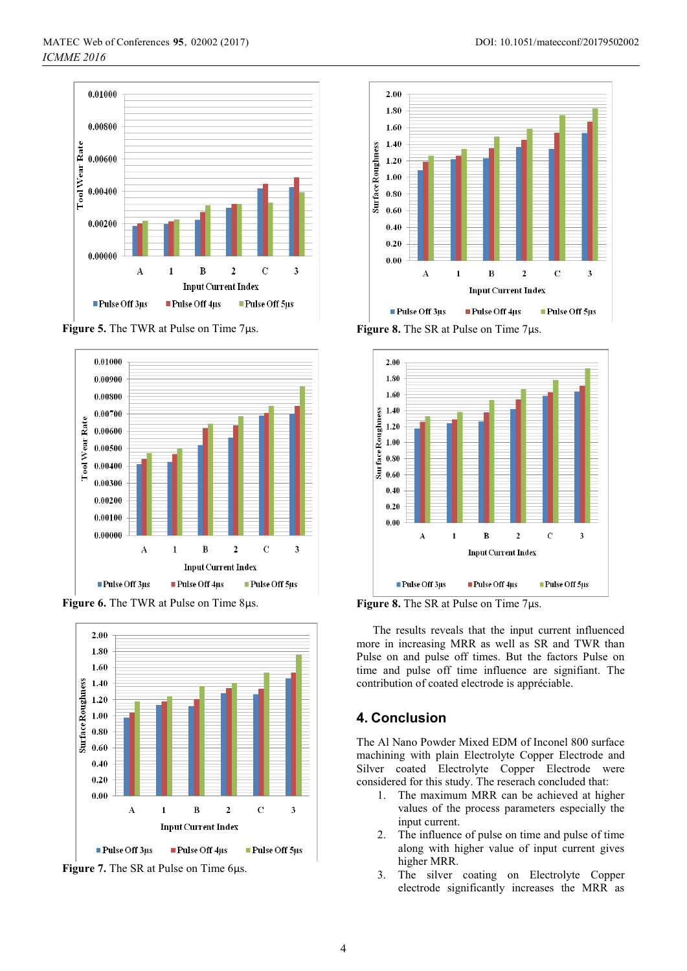

**Figure 5.** The TWR at Pulse on Time 7μs.



**Figure 6.** The TWR at Pulse on Time 8μs.



**Figure 7.** The SR at Pulse on Time 6μs.



**Figure 8.** The SR at Pulse on Time 7μs.



**Figure 8.** The SR at Pulse on Time 7μs.

The results reveals that the input current influenced more in increasing MRR as well as SR and TWR than Pulse on and pulse off times. But the factors Pulse on time and pulse off time influence are signifiant. The contribution of coated electrode is appréciable.

## **4. Conclusion**

The Al Nano Powder Mixed EDM of Inconel 800 surface machining with plain Electrolyte Copper Electrode and Silver coated Electrolyte Copper Electrode were considered for this study. The reserach concluded that:

- 1. The maximum MRR can be achieved at higher values of the process parameters especially the input current.
- 2. The influence of pulse on time and pulse of time along with higher value of input current gives higher MRR.
- 3. The silver coating on Electrolyte Copper electrode significantly increases the MRR as